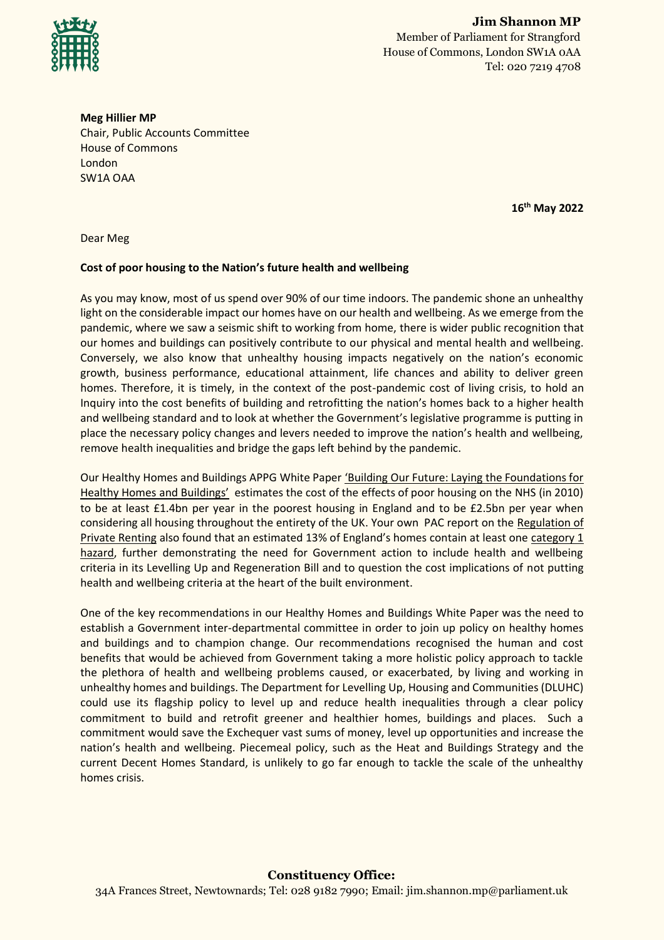

**Meg Hillier MP** Chair, Public Accounts Committee House of Commons London SW1A OAA

**16th May 2022**

Dear Meg

## **Cost of poor housing to the Nation's future health and wellbeing**

As you may know, most of us spend over 90% of our time indoors. The pandemic shone an unhealthy light on the considerable impact our homes have on our health and wellbeing. As we emerge from the pandemic, where we saw a seismic shift to working from home, there is wider public recognition that our homes and buildings can positively contribute to our physical and mental health and wellbeing. Conversely, we also know that unhealthy housing impacts negatively on the nation's economic growth, business performance, educational attainment, life chances and ability to deliver green homes. Therefore, it is timely, in the context of the post-pandemic cost of living crisis, to hold an Inquiry into the cost benefits of building and retrofitting the nation's homes back to a higher health and wellbeing standard and to look at whether the Government's legislative programme is putting in place the necessary policy changes and levers needed to improve the nation's health and wellbeing, remove health inequalities and bridge the gaps left behind by the pandemic.

Our Healthy Homes and Buildings APPG White Paper 'Building Our Future: Laying the Foundations for [Healthy Homes](https://healthyhomesbuildings.org.uk/wp-content/uploads/2019/04/HHB-APPG-White-Paper-V2.pdf) and Buildings' estimates the cost of the effects of poor housing on the NHS (in 2010) to be at least £1.4bn per year in the poorest housing in England and to be £2.5bn per year when considering all housing throughout the entirety of the UK. Your own PAC report on the [Regulation of](https://committees.parliament.uk/publications/9608/documents/163793/default/)  [Private Renting](https://committees.parliament.uk/publications/9608/documents/163793/default/) also found that an estimated 13% of England's homes contain at least one [category 1](https://www.legislation.gov.uk/ukpga/2004/34/part/1)  [hazard,](https://www.legislation.gov.uk/ukpga/2004/34/part/1) further demonstrating the need for Government action to include health and wellbeing criteria in its Levelling Up and Regeneration Bill and to question the cost implications of not putting health and wellbeing criteria at the heart of the built environment.

One of the key recommendations in our Healthy Homes and Buildings White Paper was the need to establish a Government inter-departmental committee in order to join up policy on healthy homes and buildings and to champion change. Our recommendations recognised the human and cost benefits that would be achieved from Government taking a more holistic policy approach to tackle the plethora of health and wellbeing problems caused, or exacerbated, by living and working in unhealthy homes and buildings. The Department for Levelling Up, Housing and Communities (DLUHC) could use its flagship policy to level up and reduce health inequalities through a clear policy commitment to build and retrofit greener and healthier homes, buildings and places. Such a commitment would save the Exchequer vast sums of money, level up opportunities and increase the nation's health and wellbeing. Piecemeal policy, such as the Heat and Buildings Strategy and the current Decent Homes Standard, is unlikely to go far enough to tackle the scale of the unhealthy homes crisis.